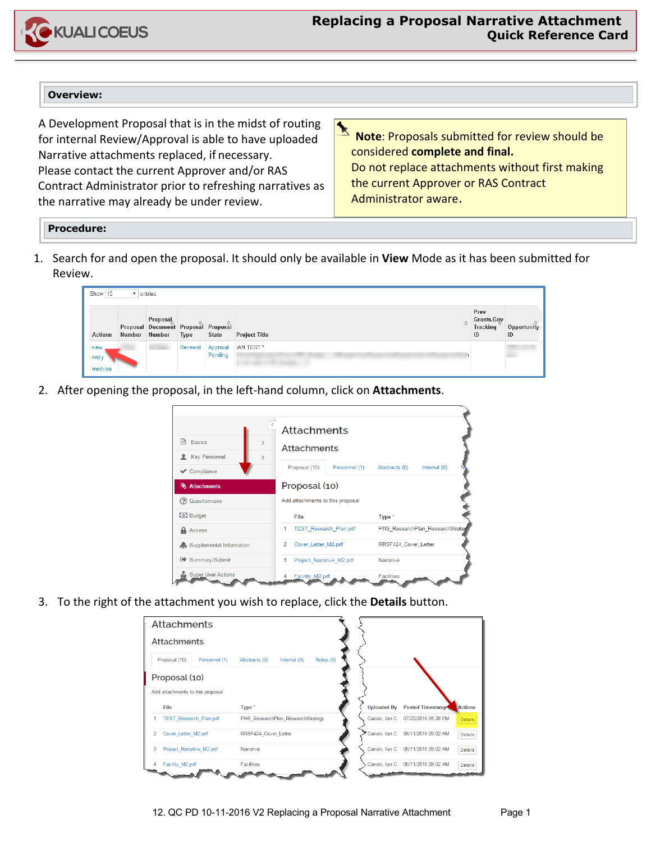

## **Overview:**

A Development Proposal that is in the midst of routing for internal Review/Approval is able to have uploaded Narrative attachments replaced, if necessary. Please contact the current Approver and/or RAS Contract Administrator prior to refreshing narratives as the narrative may already be under review.

 $\blacktriangleright$ **Note**: Proposals submitted for review should be considered **complete and final.**  Do not replace attachments without first making the current Approver or RAS Contract Administrator aware.

## **Procedure:**

1. Search for and open the proposal. It should only be available in **View** Mode as it has been submitted for Review.

| Show 10<br>entries     |        |                                                                  |         |              |                       |   |                                      |                   |
|------------------------|--------|------------------------------------------------------------------|---------|--------------|-----------------------|---|--------------------------------------|-------------------|
| <b>Actions</b>         | Number | <b>Proposal</b><br>Proposal Document Proposal Proposal<br>Number | Type    | <b>State</b> | <b>Project Title</b>  | ☆ | Prev<br>Grants.Gov<br>Tracking<br>ID | Opportunity<br>ID |
| view<br>cop)<br>medusa |        |                                                                  | Renewal | Pending      | Approval   IAN TEST * |   |                                      |                   |

2. After opening the proposal, in the left-hand column, click on **Attachments**.



3. To the right of the attachment you wish to replace, click the **Details** button.

|   | <b>Attachments</b><br><b>Attachments</b> |                                                |                    |                     |                |  |  |
|---|------------------------------------------|------------------------------------------------|--------------------|---------------------|----------------|--|--|
|   |                                          |                                                |                    |                     |                |  |  |
|   | Proposal (10)<br>Personnel (1)           | Notes $(0)$<br>Abstracts (0)<br>Internal $(0)$ |                    |                     |                |  |  |
|   | Proposal (10)                            |                                                |                    |                     |                |  |  |
|   | Add attachments to this proposal         |                                                |                    |                     |                |  |  |
|   | File                                     | Type <sup>*</sup>                              | <b>Uploaded By</b> | Posted Timestamp    | Actions        |  |  |
|   | <b>TEST Research Plan.pdf</b>            | PHS ResearchPlan ResearchStrategy              | Cariolo, Ian C     | 07/22/2015 05:28 PM | <b>Details</b> |  |  |
| 2 | Cover Letter M2.pdf                      | RRSF424 Cover Letter                           | Cariolo, Ian C     | 06/11/2015 09:02 AM | <b>Details</b> |  |  |
| 3 | Project Narrative M2.pdf                 | Narrative                                      | Cariolo, Ian C     | 06/11/2015 09:02 AM | Details        |  |  |
| 4 | Facility M2.pdf                          | <b>Facilities</b>                              | Cariolo, Ian C     | 06/11/2015 09:02 AM | <b>Details</b> |  |  |